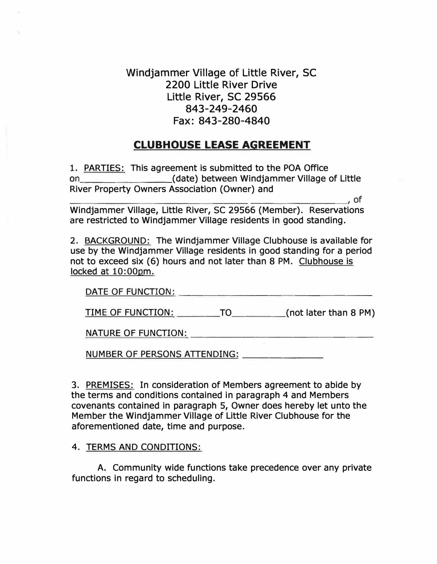Windjammer Village of Little River, SC 2200 Little River Drive Little River, SC 29566 843-249-2460 Fax: 843-280-4840

# **CLUBHOUSE LEASE AGREEMENT**

1. PARTIES: This agreement is submitted to the POA Office on \_\_\_\_\_\_\_\_ (date) between Windjammer Village of Little River Property Owners Association (Owner) and

\_\_\_\_\_\_\_\_\_\_\_\_\_\_\_\_\_\_\_\_\_\_\_ , of Windjammer Village, Little River, SC 29566 (Member). Reservations are restricted to Windjammer Village residents in good standing.

2. BACKGROUND: The Windjammer Village Clubhouse is available for use by the Windjammer Village residents in good standing for a period not to exceed six (6) hours and not later than 8 PM. Clubhouse is locked at 10:00pm.

| DATE OF FUNCTION:          |    |                         |
|----------------------------|----|-------------------------|
| TIME OF FUNCTION:          | TO | (not later than $8$ PM) |
| <b>NATURE OF FUNCTION:</b> |    |                         |

NUMBER OF PERSONS ATTENDING: \_\_\_\_\_ \_

3. PREMISES: In consideration of Members agreement to abide by the terms and conditions contained in paragraph 4 and Members covenants contained in paragraph 5, Owner does hereby let unto the Member the Windjammer Village of Little River Clubhouse for the aforementioned date, time and purpose.

4. TERMS AND CONDITIONS:

A. Community wide functions take precedence over any private functions in regard to scheduling.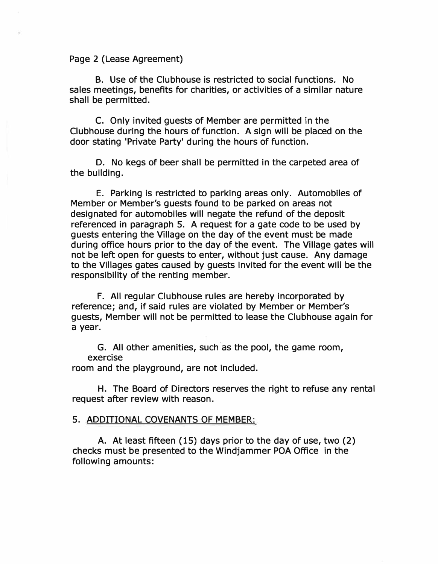#### Page 2 (Lease Agreement)

B. Use of the Clubhouse is restricted to social functions. No sales meetings, benefits for charities, or activities of a similar nature shall be permitted.

C. Only invited guests of Member are permitted in the Clubhouse during the hours of function. A sign will be placed on the door stating 'Private Party• during the hours of function.

D. No kegs of beer shall be permitted in the carpeted area of the building.

E. Parking is restricted to parking areas only. Automobiles of Member or Member's guests found to be parked on areas not designated for automobiles will negate the refund of the deposit referenced in paragraph 5. A request for a gate code to be used by guests entering the Village on the day of the event must be made during office hours prior to the day of the event. The Village gates will not be left open for guests to enter, without just cause. Any damage to the Villages gates caused by guests invited for the event will be the responsibility of the renting member.

F. All regular Clubhouse rules are hereby incorporated by reference; and, if said rules are violated by Member or Member's guests, Member will not be permitted to lease the Clubhouse again for a year.

G. All other amenities, such as the pool, the game room, exercise

room and the playground, are not included.

H. The Board of Directors reserves the right to refuse any rental request after review with reason.

## 5. ADDITIONAL COVENANTS OF MEMBER:

A. At least fifteen (15) days prior to the day of use, two (2) checks must be presented to the Windjammer POA Office in the following amounts: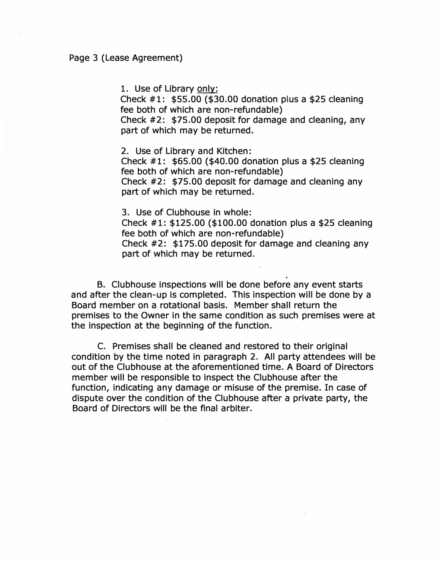1. Use of Library only:

Check #1: \$55.00 (\$30.00 donation plus a \$25 cleaning fee both of which are non-refundable)

Check #2: \$75.00 deposit for damage and cleaning, any part of which may be returned.

2. Use of Library and Kitchen: Check #1: \$65.00 (\$40.00 donation plus a \$25 cleaning fee both of which are non-refundable) Check #2: \$75.00 deposit for damage and cleaning any

part of which may be returned.

3. Use of Clubhouse in whole: Check #1: \$125.00 (\$100.00 donation plus a \$25 cleaning fee both of which are non-refundable) Check #2: \$175.00 deposit for damage and cleaning any part of which may be returned.

. B. Clubhouse inspections will be done before any event starts and after the clean-up is completed. This inspection will be done by a Board member on a rotational basis. Member shall return the premises to the Owner in the same condition as such premises were at the inspection at the beginning of the function.

C. Premises shall be cleaned and restored to their original condition by the time noted in paragraph 2. All party attendees will be out of the Clubhouse at the aforementioned time. A Board of Directors member will be responsible to inspect the Clubhouse after the function, indicating any damage or misuse of the premise. In case of dispute over the condition of the Clubhouse after a private party, the Board of Directors will be the final arbiter.